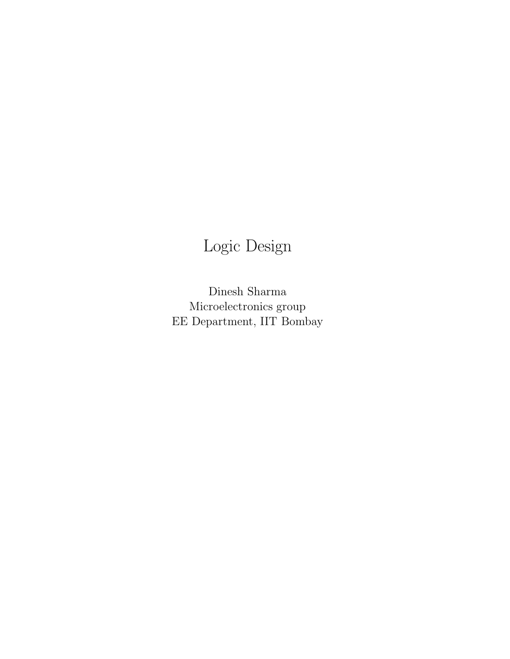# Logic Design

Dinesh Sharma Microelectronics group EE Department, IIT Bombay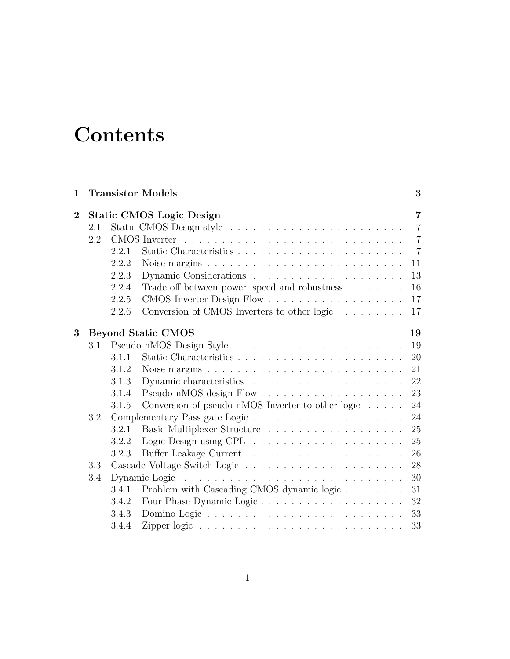# **Contents**

| $\mathbf{1}$   |                                 |       | <b>Transistor Models</b>                                                                                                         | 3              |  |
|----------------|---------------------------------|-------|----------------------------------------------------------------------------------------------------------------------------------|----------------|--|
| $\overline{2}$ | <b>Static CMOS Logic Design</b> |       |                                                                                                                                  |                |  |
|                | 2.1                             |       |                                                                                                                                  | $\overline{7}$ |  |
|                | 2.2                             |       |                                                                                                                                  | $\overline{7}$ |  |
|                |                                 | 2.2.1 |                                                                                                                                  | $\overline{7}$ |  |
|                |                                 | 2.2.2 | Noise margins $\ldots \ldots \ldots \ldots \ldots \ldots \ldots \ldots \ldots$                                                   | 11             |  |
|                |                                 | 2.2.3 |                                                                                                                                  | 13             |  |
|                |                                 | 2.2.4 | Trade off between power, speed and robustness $\quad .\ .\ .\ .\ .$                                                              | 16             |  |
|                |                                 | 2.2.5 |                                                                                                                                  | 17             |  |
|                |                                 | 2.2.6 | Conversion of CMOS Inverters to other logic                                                                                      | 17             |  |
| 3              | <b>Beyond Static CMOS</b><br>19 |       |                                                                                                                                  |                |  |
|                | 3.1                             |       |                                                                                                                                  | 19             |  |
|                |                                 | 3.1.1 |                                                                                                                                  | 20             |  |
|                |                                 | 3.1.2 | Noise margins $\ldots \ldots \ldots \ldots \ldots \ldots \ldots \ldots \ldots$                                                   | 21             |  |
|                |                                 | 3.1.3 |                                                                                                                                  | 22             |  |
|                |                                 | 3.1.4 |                                                                                                                                  | 23             |  |
|                |                                 | 3.1.5 | Conversion of pseudo nMOS Inverter to other logic $\dots$ .                                                                      | 24             |  |
|                | 3.2                             |       |                                                                                                                                  | 24             |  |
|                |                                 | 3.2.1 |                                                                                                                                  | 25             |  |
|                |                                 | 3.2.2 |                                                                                                                                  | 25             |  |
|                |                                 | 3.2.3 |                                                                                                                                  | 26             |  |
|                | 3.3                             |       |                                                                                                                                  | 28             |  |
|                | 3.4                             |       | Dynamic Logic<br>the contract of the contract of the contract of the contract of the contract of the contract of the contract of | 30             |  |
|                |                                 | 3.4.1 | Problem with Cascading CMOS dynamic logic                                                                                        | 31             |  |
|                |                                 | 3.4.2 | Four Phase Dynamic Logic                                                                                                         | 32             |  |
|                |                                 | 3.4.3 |                                                                                                                                  | 33             |  |
|                |                                 | 3.4.4 |                                                                                                                                  | 33             |  |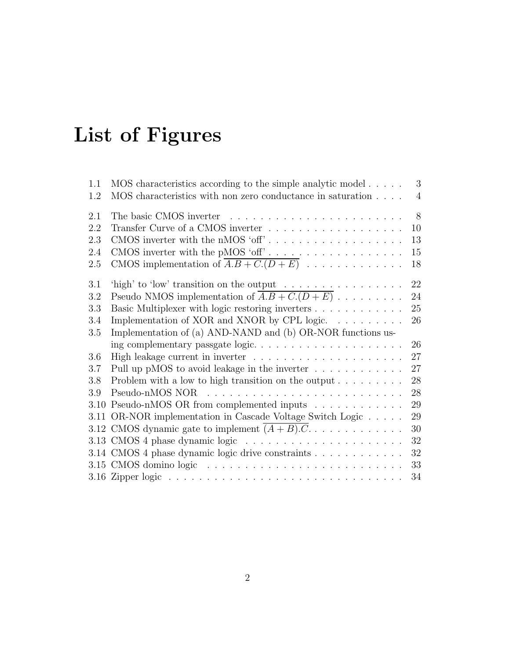# List of Figures

| 1.1 | MOS characteristics according to the simple analytic model                                                                    | 3              |
|-----|-------------------------------------------------------------------------------------------------------------------------------|----------------|
| 1.2 | MOS characteristics with non zero conductance in saturation                                                                   | $\overline{4}$ |
| 2.1 |                                                                                                                               | 8              |
| 2.2 |                                                                                                                               | 10             |
| 2.3 |                                                                                                                               | 13             |
| 2.4 |                                                                                                                               | 15             |
| 2.5 | CMOS implementation of $\overline{A.B + C.(D+E)}$                                                                             | 18             |
| 3.1 |                                                                                                                               | 22             |
| 3.2 | 'high' to 'low' transition on the output $\dots \dots \dots \dots$<br>Pseudo NMOS implementation of $\overline{A.B + C(D+E)}$ | 24             |
| 3.3 | Basic Multiplexer with logic restoring inverters                                                                              | 25             |
| 3.4 | Implementation of XOR and XNOR by CPL logic. $\dots \dots \dots$                                                              | 26             |
| 3.5 | Implementation of (a) AND-NAND and (b) OR-NOR functions us-                                                                   |                |
|     |                                                                                                                               | 26             |
| 3.6 |                                                                                                                               | 27             |
| 3.7 | Pull up pMOS to avoid leakage in the inverter $\dots \dots \dots \dots$                                                       | 27             |
| 3.8 |                                                                                                                               | 28             |
| 3.9 |                                                                                                                               | 28             |
|     | 3.10 Pseudo-nMOS OR from complemented inputs                                                                                  | 29             |
|     | 3.11 OR-NOR implementation in Cascade Voltage Switch Logic                                                                    | 29             |
|     | 3.12 CMOS dynamic gate to implement $(A + B)$ .C                                                                              | 30             |
|     |                                                                                                                               | 32             |
|     | 3.14 CMOS 4 phase dynamic logic drive constraints                                                                             | 32             |
|     |                                                                                                                               | 33             |
|     |                                                                                                                               | 34             |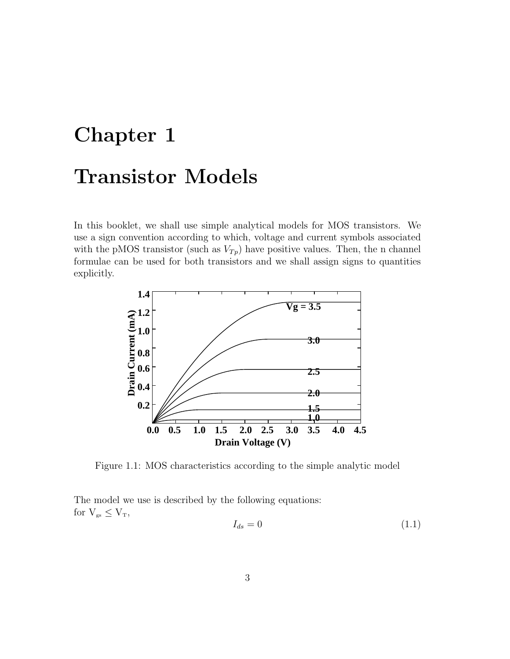# Chapter 1 Transistor Models

In this booklet, we shall use simple analytical models for MOS transistors. We use a sign convention according to which, voltage and current symbols associated with the pMOS transistor (such as  $V_{Tp}$ ) have positive values. Then, the n channel formulae can be used for both transistors and we shall assign signs to quantities explicitly.



Figure 1.1: MOS characteristics according to the simple analytic model

The model we use is described by the following equations: for  $V_{gs} \leq V_T$ ,

$$
I_{ds} = 0 \tag{1.1}
$$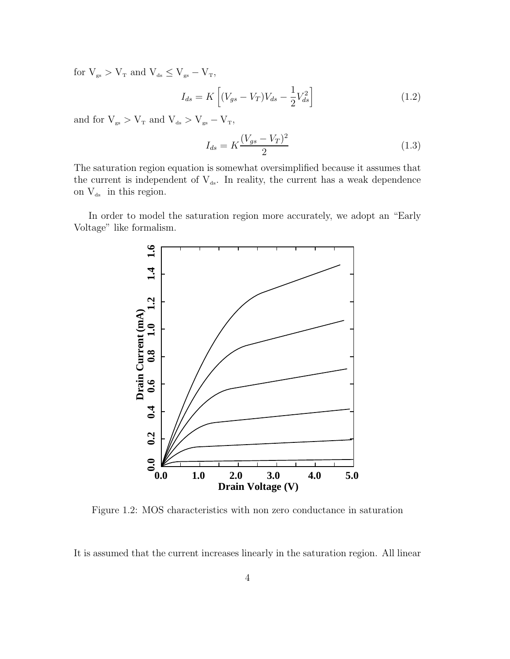for  $V_{gs} > V_{T}$  and  $V_{ds} \leq V_{gs} - V_{T}$ ,

$$
I_{ds} = K \left[ (V_{gs} - V_T) V_{ds} - \frac{1}{2} V_{ds}^2 \right]
$$
 (1.2)

and for  $V_{\rm gs} > V_{\rm \scriptscriptstyle T}$  and  $V_{\rm ds} > V_{\rm gs} - V_{\rm \scriptscriptstyle T},$ 

$$
I_{ds} = K \frac{(V_{gs} - V_T)^2}{2}
$$
 (1.3)

The saturation region equation is somewhat oversimplified because it assumes that the current is independent of  $V_{ds}$ . In reality, the current has a weak dependence on  $\rm V_{\mbox{\tiny ds}}\;$  in this region.

In order to model the saturation region more accurately, we adopt an "Early Voltage" like formalism.



Figure 1.2: MOS characteristics with non zero conductance in saturation

It is assumed that the current increases linearly in the saturation region. All linear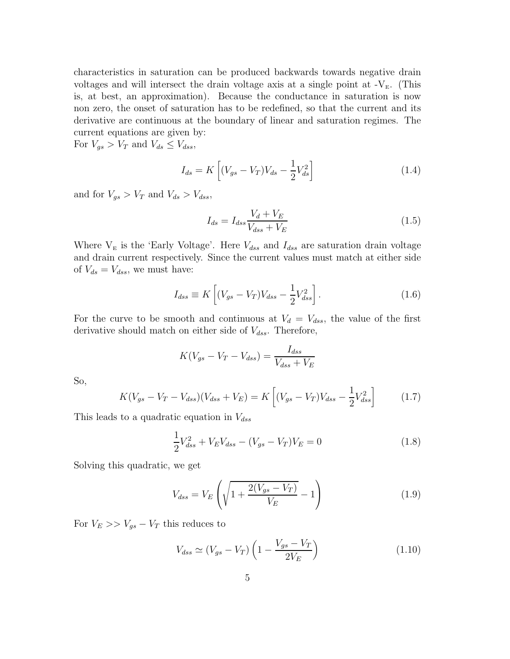characteristics in saturation can be produced backwards towards negative drain voltages and will intersect the drain voltage axis at a single point at  $-V<sub>E</sub>$ . (This is, at best, an approximation). Because the conductance in saturation is now non zero, the onset of saturation has to be redefined, so that the current and its derivative are continuous at the boundary of linear and saturation regimes. The current equations are given by:

For  $V_{gs} > V_T$  and  $V_{ds} \leq V_{dss}$ ,

$$
I_{ds} = K \left[ (V_{gs} - V_T) V_{ds} - \frac{1}{2} V_{ds}^2 \right]
$$
 (1.4)

and for  $V_{gs} > V_T$  and  $V_{ds} > V_{dss}$ ,

$$
I_{ds} = I_{dss} \frac{V_d + V_E}{V_{dss} + V_E} \tag{1.5}
$$

Where  $V_E$  is the 'Early Voltage'. Here  $V_{dss}$  and  $I_{dss}$  are saturation drain voltage and drain current respectively. Since the current values must match at either side of  $V_{ds} = V_{dss}$ , we must have:

$$
I_{dss} \equiv K \left[ (V_{gs} - V_T) V_{dss} - \frac{1}{2} V_{dss}^2 \right].
$$
 (1.6)

For the curve to be smooth and continuous at  $V_d = V_{dss}$ , the value of the first derivative should match on either side of  $V_{dss}$ . Therefore,

$$
K(V_{gs} - V_T - V_{dss}) = \frac{I_{dss}}{V_{dss} + V_E}
$$

So,

$$
K(V_{gs} - V_T - V_{dss})(V_{dss} + V_E) = K\left[ (V_{gs} - V_T)V_{dss} - \frac{1}{2}V_{dss}^2 \right]
$$
 (1.7)

This leads to a quadratic equation in  $V_{dss}$ 

$$
\frac{1}{2}V_{dss}^2 + V_E V_{dss} - (V_{gs} - V_T)V_E = 0
$$
\n(1.8)

Solving this quadratic, we get

$$
V_{dss} = V_E \left( \sqrt{1 + \frac{2(V_{gs} - V_T)}{V_E}} - 1 \right)
$$
 (1.9)

For  $V_E >> V_{gs} - V_T$  this reduces to

$$
V_{dss} \simeq (V_{gs} - V_T) \left( 1 - \frac{V_{gs} - V_T}{2V_E} \right) \tag{1.10}
$$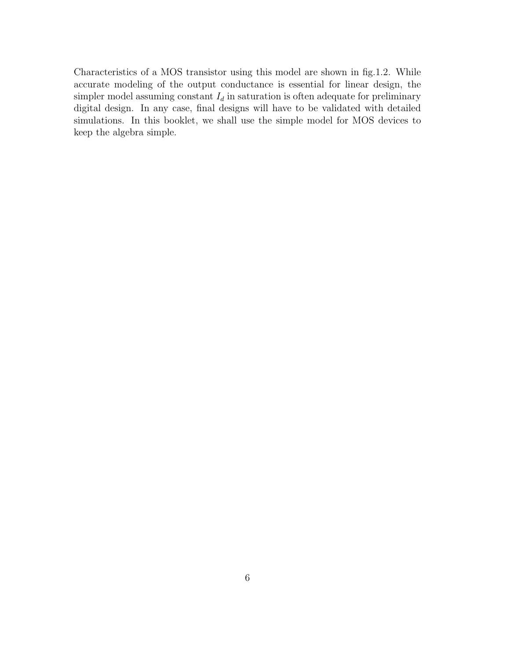Characteristics of a MOS transistor using this model are shown in fig.1.2. While accurate modeling of the output conductance is essential for linear design, the simpler model assuming constant  $I_d$  in saturation is often adequate for preliminary digital design. In any case, final designs will have to be validated with detailed simulations. In this booklet, we shall use the simple model for MOS devices to keep the algebra simple.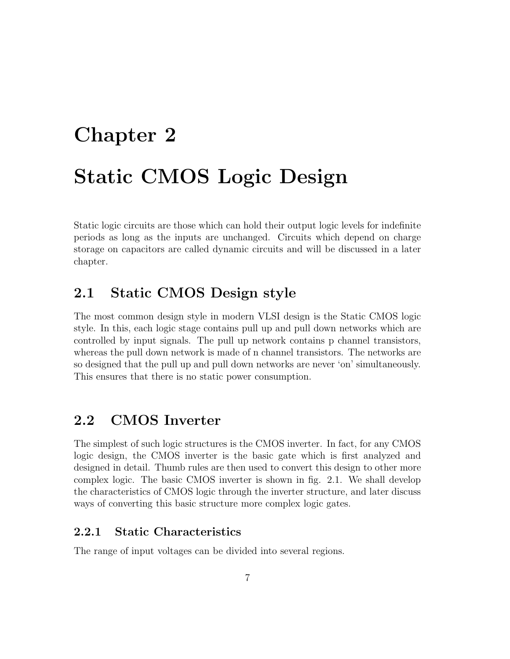# Chapter 2 Static CMOS Logic Design

Static logic circuits are those which can hold their output logic levels for indefinite periods as long as the inputs are unchanged. Circuits which depend on charge storage on capacitors are called dynamic circuits and will be discussed in a later chapter.

## 2.1 Static CMOS Design style

The most common design style in modern VLSI design is the Static CMOS logic style. In this, each logic stage contains pull up and pull down networks which are controlled by input signals. The pull up network contains p channel transistors, whereas the pull down network is made of n channel transistors. The networks are so designed that the pull up and pull down networks are never 'on' simultaneously. This ensures that there is no static power consumption.

## 2.2 CMOS Inverter

The simplest of such logic structures is the CMOS inverter. In fact, for any CMOS logic design, the CMOS inverter is the basic gate which is first analyzed and designed in detail. Thumb rules are then used to convert this design to other more complex logic. The basic CMOS inverter is shown in fig. 2.1. We shall develop the characteristics of CMOS logic through the inverter structure, and later discuss ways of converting this basic structure more complex logic gates.

## 2.2.1 Static Characteristics

The range of input voltages can be divided into several regions.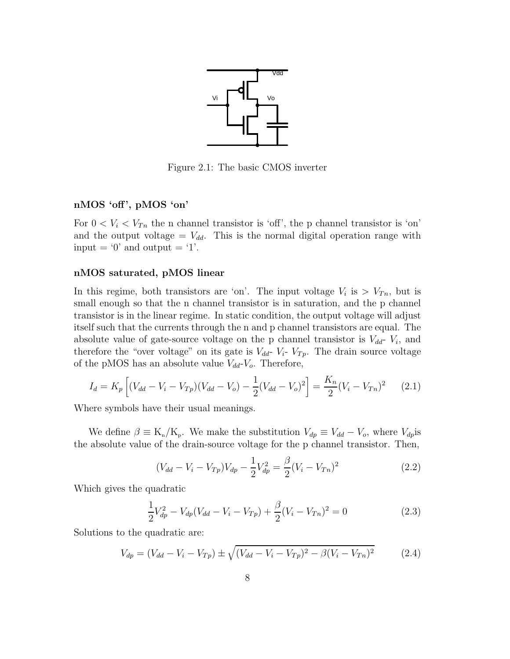

Figure 2.1: The basic CMOS inverter

### nMOS 'off', pMOS 'on'

For  $0 < V_i < V_{Tn}$  the n channel transistor is 'off', the p channel transistor is 'on' and the output voltage =  $V_{dd}$ . This is the normal digital operation range with input  $=$  '0' and output  $=$  '1'.

#### nMOS saturated, pMOS linear

In this regime, both transistors are 'on'. The input voltage  $V_i$  is  $V_{T_n}$ , but is small enough so that the n channel transistor is in saturation, and the p channel transistor is in the linear regime. In static condition, the output voltage will adjust itself such that the currents through the n and p channel transistors are equal. The absolute value of gate-source voltage on the p channel transistor is  $V_{dd}$ -  $V_i$ , and therefore the "over voltage" on its gate is  $V_{dd}$ -  $V_i$ -  $V_{Tp}$ . The drain source voltage of the pMOS has an absolute value  $V_{dd}$ - $V_o$ . Therefore,

$$
I_d = K_p \left[ (V_{dd} - V_i - V_{Tp})(V_{dd} - V_o) - \frac{1}{2}(V_{dd} - V_o)^2 \right] = \frac{K_n}{2}(V_i - V_{Tn})^2 \tag{2.1}
$$

Where symbols have their usual meanings.

We define  $\beta \equiv K_n/K_p$ . We make the substitution  $V_{dp} \equiv V_{dd} - V_o$ , where  $V_{dp}$  is the absolute value of the drain-source voltage for the p channel transistor. Then,

$$
(V_{dd} - V_i - V_{Tp})V_{dp} - \frac{1}{2}V_{dp}^2 = \frac{\beta}{2}(V_i - V_{Tn})^2
$$
\n(2.2)

Which gives the quadratic

$$
\frac{1}{2}V_{dp}^2 - V_{dp}(V_{dd} - V_i - V_{Tp}) + \frac{\beta}{2}(V_i - V_{Tn})^2 = 0
$$
\n(2.3)

Solutions to the quadratic are:

$$
V_{dp} = (V_{dd} - V_i - V_{Tp}) \pm \sqrt{(V_{dd} - V_i - V_{Tp})^2 - \beta (V_i - V_{Tn})^2}
$$
(2.4)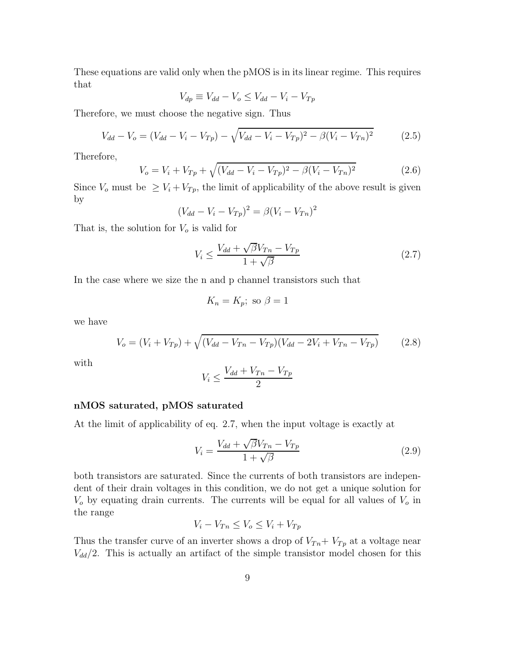These equations are valid only when the pMOS is in its linear regime. This requires that

$$
V_{dp} \equiv V_{dd} - V_o \le V_{dd} - V_i - V_{Tp}
$$

Therefore, we must choose the negative sign. Thus

$$
V_{dd} - V_o = (V_{dd} - V_i - V_{Tp}) - \sqrt{V_{dd} - V_i - V_{Tp})^2 - \beta (V_i - V_{Tn})^2}
$$
(2.5)

Therefore,

$$
V_o = V_i + V_{Tp} + \sqrt{(V_{dd} - V_i - V_{Tp})^2 - \beta (V_i - V_{Tn})^2}
$$
\n(2.6)

Since  $V_o$  must be  $\geq V_i + V_{Tp}$ , the limit of applicability of the above result is given by

$$
(V_{dd} - V_i - V_{Tp})^2 = \beta (V_i - V_{Tn})^2
$$

That is, the solution for  $V_o$  is valid for

$$
V_i \le \frac{V_{dd} + \sqrt{\beta}V_{Tn} - V_{Tp}}{1 + \sqrt{\beta}}
$$
\n(2.7)

In the case where we size the n and p channel transistors such that

$$
K_n = K_p; \text{ so } \beta = 1
$$

we have

$$
V_o = (V_i + V_{Tp}) + \sqrt{(V_{dd} - V_{Tn} - V_{Tp})(V_{dd} - 2V_i + V_{Tn} - V_{Tp})}
$$
(2.8)

with

$$
V_i \le \frac{V_{dd} + V_{Tn} - V_{Tp}}{2}
$$

#### nMOS saturated, pMOS saturated

At the limit of applicability of eq. 2.7, when the input voltage is exactly at

$$
V_i = \frac{V_{dd} + \sqrt{\beta}V_{Tn} - V_{Tp}}{1 + \sqrt{\beta}}
$$
\n(2.9)

both transistors are saturated. Since the currents of both transistors are independent of their drain voltages in this condition, we do not get a unique solution for  $V<sub>o</sub>$  by equating drain currents. The currents will be equal for all values of  $V<sub>o</sub>$  in the range

$$
V_i - V_{Tn} \le V_o \le V_i + V_{Tp}
$$

Thus the transfer curve of an inverter shows a drop of  $V_{Tn}$  +  $V_{Tp}$  at a voltage near  $V_{dd}/2$ . This is actually an artifact of the simple transistor model chosen for this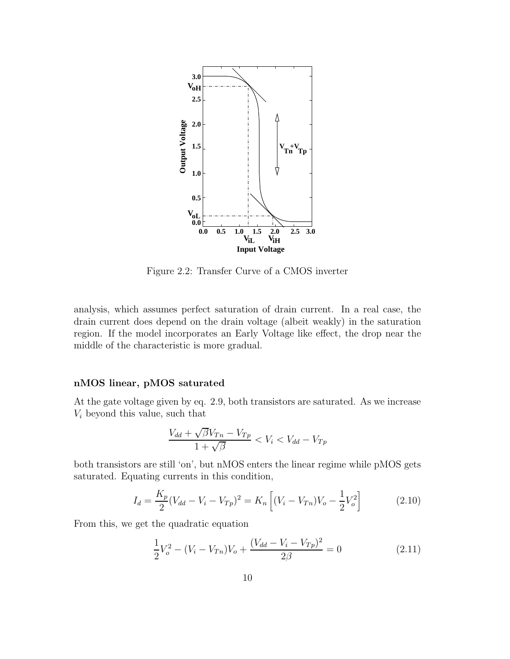

Figure 2.2: Transfer Curve of a CMOS inverter

analysis, which assumes perfect saturation of drain current. In a real case, the drain current does depend on the drain voltage (albeit weakly) in the saturation region. If the model incorporates an Early Voltage like effect, the drop near the middle of the characteristic is more gradual.

#### nMOS linear, pMOS saturated

At the gate voltage given by eq. 2.9, both transistors are saturated. As we increase  $V_i$  beyond this value, such that

$$
\frac{V_{dd} + \sqrt{\beta}V_{Tn} - V_{Tp}}{1 + \sqrt{\beta}} < V_i < V_{dd} - V_{Tp}
$$

both transistors are still 'on', but nMOS enters the linear regime while pMOS gets saturated. Equating currents in this condition,

$$
I_d = \frac{K_p}{2}(V_{dd} - V_i - V_{Tp})^2 = K_n \left[ (V_i - V_{Tn})V_o - \frac{1}{2}V_o^2 \right]
$$
 (2.10)

From this, we get the quadratic equation

$$
\frac{1}{2}V_o^2 - (V_i - V_{Tn})V_o + \frac{(V_{dd} - V_{t} - V_{Tp})^2}{2\beta} = 0
$$
\n(2.11)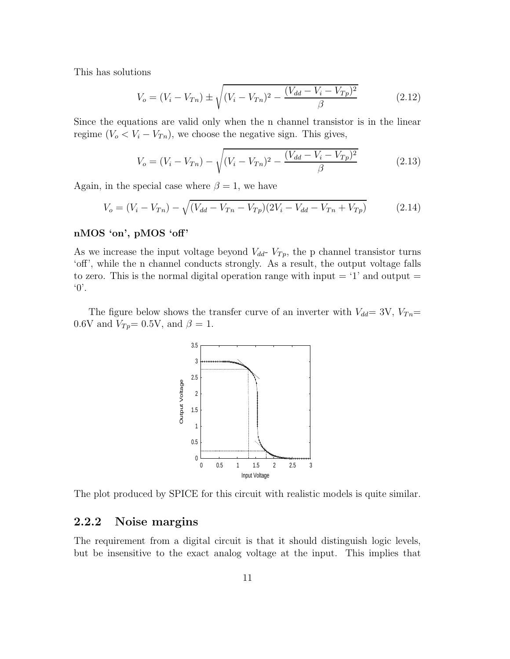This has solutions

$$
V_o = (V_i - V_{Tn}) \pm \sqrt{(V_i - V_{Tn})^2 - \frac{(V_{dd} - V_{Tn})^2}{\beta}}
$$
(2.12)

Since the equations are valid only when the n channel transistor is in the linear regime  $(V_o < V_i - V_{Tn})$ , we choose the negative sign. This gives,

$$
V_o = (V_i - V_{Tn}) - \sqrt{(V_i - V_{Tn})^2 - \frac{(V_{dd} - V_i - V_{Tp})^2}{\beta}}
$$
(2.13)

Again, in the special case where  $\beta = 1$ , we have

$$
V_o = (V_i - V_{Tn}) - \sqrt{(V_{dd} - V_{Tn} - V_{Tp})(2V_i - V_{dd} - V_{Tn} + V_{Tp})}
$$
(2.14)

### nMOS 'on', pMOS 'off'

As we increase the input voltage beyond  $V_{dd}$ -  $V_{Tp}$ , the p channel transistor turns 'off', while the n channel conducts strongly. As a result, the output voltage falls to zero. This is the normal digital operation range with input  $=$  '1' and output  $=$ '0'.

The figure below shows the transfer curve of an inverter with  $V_{dd}= 3V$ ,  $V_{Tn}=$ 0.6V and  $V_{Tp}$ = 0.5V, and  $\beta = 1$ .



The plot produced by SPICE for this circuit with realistic models is quite similar.

## 2.2.2 Noise margins

The requirement from a digital circuit is that it should distinguish logic levels, but be insensitive to the exact analog voltage at the input. This implies that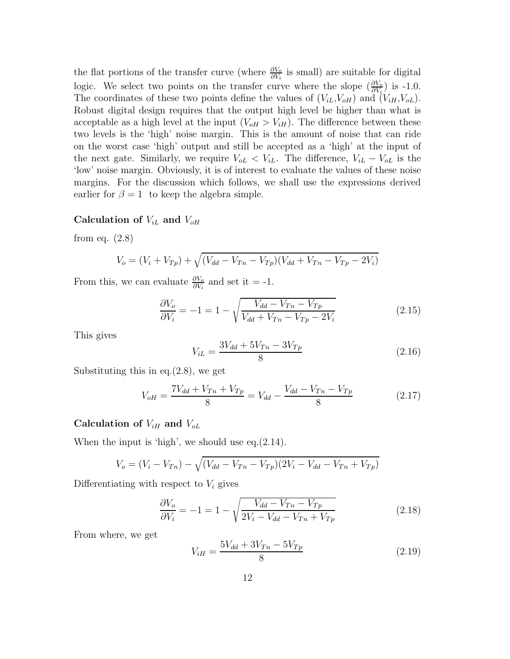the flat portions of the transfer curve (where  $\frac{\partial V_o}{\partial V_i}$  is small) are suitable for digital logic. We select two points on the transfer curve where the slope  $(\frac{\partial V_o}{\partial V_i})$  is -1.0. The coordinates of these two points define the values of  $(V_{iL}, V_{oH})$  and  $(V_{iH}, V_{oL})$ . Robust digital design requires that the output high level be higher than what is acceptable as a high level at the input  $(V_{\text{oH}} > V_{\text{iH}})$ . The difference between these two levels is the 'high' noise margin. This is the amount of noise that can ride on the worst case 'high' output and still be accepted as a 'high' at the input of the next gate. Similarly, we require  $V_{oL} < V_{iL}$ . The difference,  $V_{iL} - V_{oL}$  is the 'low' noise margin. Obviously, it is of interest to evaluate the values of these noise margins. For the discussion which follows, we shall use the expressions derived earlier for  $\beta = 1$  to keep the algebra simple.

## Calculation of  $V_{iL}$  and  $V_{oH}$

from eq.  $(2.8)$ 

$$
V_o = (V_i + V_{Tp}) + \sqrt{(V_{dd} - V_{Tn} - V_{Tp})(V_{dd} + V_{Tn} - V_{Tp} - 2V_i)}
$$

From this, we can evaluate  $\frac{\partial V_o}{\partial V_i}$  and set it = -1.

$$
\frac{\partial V_o}{\partial V_i} = -1 = 1 - \sqrt{\frac{V_{dd} - V_{Tn} - V_{Tp}}{V_{dd} + V_{Tn} - V_{Tp} - 2V_i}}
$$
(2.15)

This gives

$$
V_{iL} = \frac{3V_{dd} + 5V_{Tn} - 3V_{Tp}}{8}
$$
\n(2.16)

Substituting this in eq.(2.8), we get

$$
V_{oH} = \frac{7V_{dd} + V_{Tn} + V_{Tp}}{8} = V_{dd} - \frac{V_{dd} - V_{Tn} - V_{Tp}}{8}
$$
(2.17)

## Calculation of  $V_{iH}$  and  $V_{oL}$

When the input is 'high', we should use eq.(2.14).

$$
V_o = (V_i - V_{Tn}) - \sqrt{(V_{dd} - V_{Tn} - V_{Tp})(2V_i - V_{dd} - V_{Tn} + V_{Tp})}
$$

Differentiating with respect to  $V_i$  gives

$$
\frac{\partial V_o}{\partial V_i} = -1 = 1 - \sqrt{\frac{V_{dd} - V_{Tn} - V_{Tp}}{2V_i - V_{dd} - V_{Tn} + V_{Tp}}}
$$
(2.18)

From where, we get

$$
V_{iH} = \frac{5V_{dd} + 3V_{Tn} - 5V_{Tp}}{8}
$$
\n(2.19)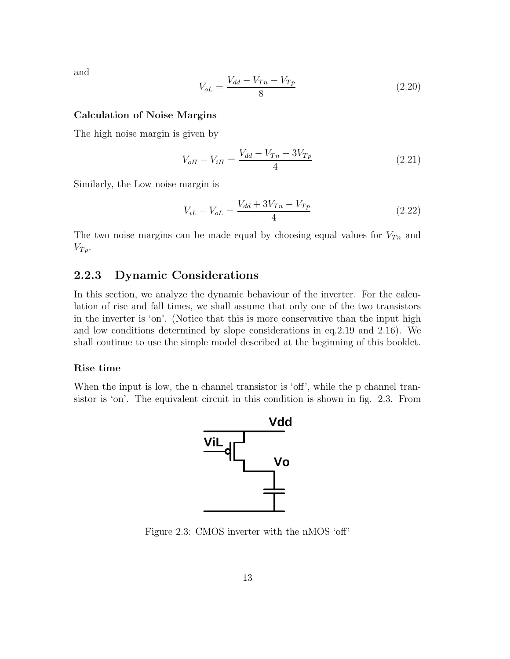and

$$
V_{oL} = \frac{V_{dd} - V_{Tn} - V_{Tp}}{8}
$$
\n(2.20)

#### Calculation of Noise Margins

The high noise margin is given by

$$
V_{oH} - V_{iH} = \frac{V_{dd} - V_{Tn} + 3V_{Tp}}{4}
$$
 (2.21)

Similarly, the Low noise margin is

$$
V_{iL} - V_{oL} = \frac{V_{dd} + 3V_{Tn} - V_{Tp}}{4}
$$
 (2.22)

The two noise margins can be made equal by choosing equal values for  $V_{T_n}$  and  $V_{Tp}$ .

## 2.2.3 Dynamic Considerations

In this section, we analyze the dynamic behaviour of the inverter. For the calculation of rise and fall times, we shall assume that only one of the two transistors in the inverter is 'on'. (Notice that this is more conservative than the input high and low conditions determined by slope considerations in eq.2.19 and 2.16). We shall continue to use the simple model described at the beginning of this booklet.

#### Rise time

When the input is low, the n channel transistor is 'off', while the p channel transistor is 'on'. The equivalent circuit in this condition is shown in fig. 2.3. From



Figure 2.3: CMOS inverter with the nMOS 'off'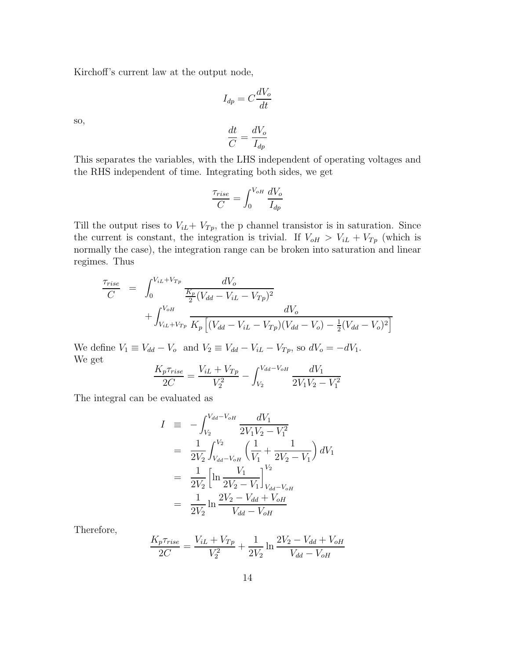Kirchoff's current law at the output node,

$$
I_{dp} = C \frac{dV_o}{dt}
$$

so,

$$
\frac{dt}{C} = \frac{dV_o}{I_{dp}}
$$

This separates the variables, with the LHS independent of operating voltages and the RHS independent of time. Integrating both sides, we get

$$
\frac{\tau_{rise}}{C} = \int_0^{V_{oH}} \frac{dV_o}{I_{dp}}
$$

Till the output rises to  $V_{iL} + V_{Tp}$ , the p channel transistor is in saturation. Since the current is constant, the integration is trivial. If  $V_{\text{oH}} > V_{iL} + V_{Tp}$  (which is normally the case), the integration range can be broken into saturation and linear regimes. Thus

$$
\frac{\tau_{rise}}{C} = \int_{0}^{V_{iL}+V_{Tp}} \frac{dV_o}{\frac{K_p}{2}(V_{dd}-V_{iL}-V_{Tp})^2} + \int_{V_{iL}+V_{Tp}}^{V_{oH}} \frac{dV_o}{K_p [(V_{dd}-V_{iL}-V_{Tp})(V_{dd}-V_o)-\frac{1}{2}(V_{dd}-V_o)^2]}
$$

We define  $V_1 \equiv V_{dd} - V_o$  and  $V_2 \equiv V_{dd} - V_{iL} - V_{Tp}$ , so  $dV_o = -dV_1$ . We get

$$
\frac{K_p \tau_{rise}}{2C} = \frac{V_{iL} + V_{Tp}}{V_2^2} - \int_{V_2}^{V_{dd} - V_{oH}} \frac{dV_1}{2V_1 V_2 - V_1^2}
$$

The integral can be evaluated as

$$
I = -\int_{V_2}^{V_{dd}-V_{oH}} \frac{dV_1}{2V_1V_2 - V_1^2}
$$
  
\n
$$
= \frac{1}{2V_2} \int_{V_{dd}-V_{oH}}^{V_2} \left(\frac{1}{V_1} + \frac{1}{2V_2 - V_1}\right) dV_1
$$
  
\n
$$
= \frac{1}{2V_2} \left[ \ln \frac{V_1}{2V_2 - V_1} \right]_{V_{dd}-V_{oH}}^{V_2}
$$
  
\n
$$
= \frac{1}{2V_2} \ln \frac{2V_2 - V_{dd} + V_{oH}}{V_{dd} - V_{oH}}
$$

Therefore,

$$
\frac{K_p \tau_{rise}}{2C} = \frac{V_{iL} + V_{Tp}}{V_2^2} + \frac{1}{2V_2} \ln \frac{2V_2 - V_{dd} + V_{oH}}{V_{dd} - V_{oH}}
$$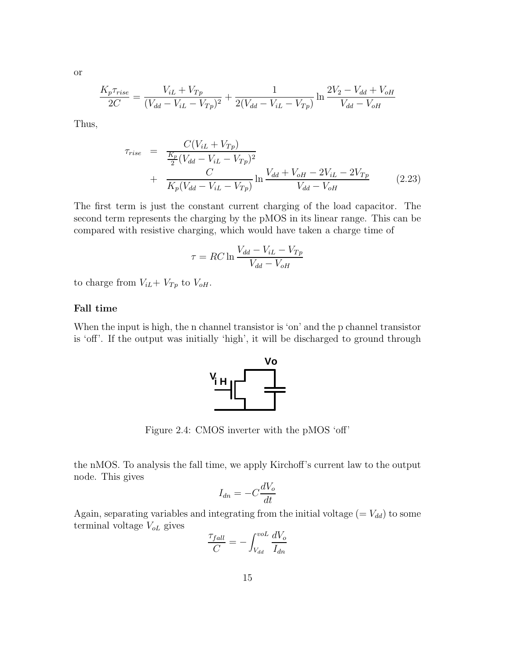or

$$
\frac{K_p \tau_{rise}}{2C} = \frac{V_{iL} + V_{Tp}}{(V_{dd} - V_{iL} - V_{Tp})^2} + \frac{1}{2(V_{dd} - V_{iL} - V_{Tp})} \ln \frac{2V_2 - V_{dd} + V_{oH}}{V_{dd} - V_{oH}}
$$

Thus,

$$
\tau_{rise} = \frac{C(V_{iL} + V_{Tp})}{\frac{K_p}{2}(V_{dd} - V_{iL} - V_{Tp})^2} + \frac{C}{K_p(V_{dd} - V_{iL} - V_{Tp})} \ln \frac{V_{dd} + V_{oH} - 2V_{iL} - 2V_{Tp}}{V_{dd} - V_{oH}} \tag{2.23}
$$

The first term is just the constant current charging of the load capacitor. The second term represents the charging by the pMOS in its linear range. This can be compared with resistive charging, which would have taken a charge time of

$$
\tau = RC \ln \frac{V_{dd} - V_{iL} - V_{Tp}}{V_{dd} - V_{oH}}
$$

to charge from  $V_{iL}$ +  $V_{Tp}$  to  $V_{oH}$ .

## Fall time

When the input is high, the n channel transistor is 'on' and the p channel transistor is 'off'. If the output was initially 'high', it will be discharged to ground through



Figure 2.4: CMOS inverter with the pMOS 'off'

the nMOS. To analysis the fall time, we apply Kirchoff's current law to the output node. This gives

$$
I_{dn} = -C\frac{dV_o}{dt}
$$

Again, separating variables and integrating from the initial voltage  $(= V_{dd})$  to some terminal voltage  $V_{oL}$  gives

$$
\frac{\tau_{fall}}{C} = -\int_{V_{dd}}^{vol} \frac{dV_o}{I_{dn}}
$$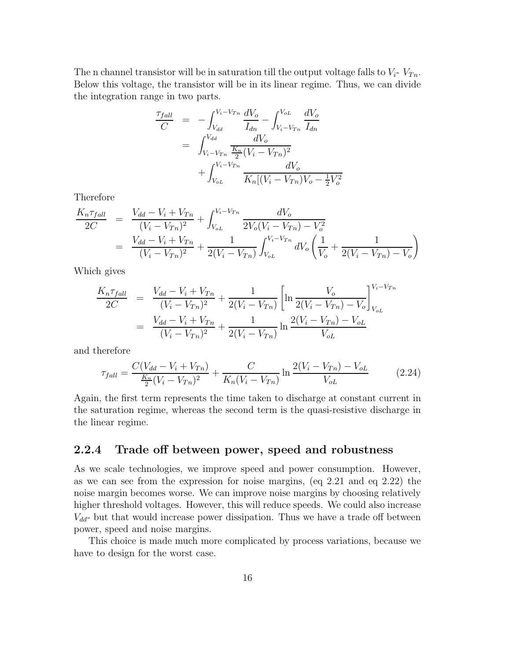The n channel transistor will be in saturation till the output voltage falls to  $V_i$ -  $V_{Tn}$ . Below this voltage, the transistor will be in its linear regime. Thus, we can divide the integration range in two parts.

$$
\frac{\tau_{fall}}{C} = -\int_{V_{dd}}^{V_i - V_{Tn}} \frac{dV_o}{I_{dn}} - \int_{V_i - V_{Tn}}^{V_{oL}} \frac{dV_o}{I_{dn}}
$$
\n
$$
= \int_{V_i - V_{Tn}}^{V_{dd}} \frac{dV_o}{\frac{K_n}{2}(V_i - V_{Tn})^2} + \int_{V_{oL}}^{V_i - V_{Tn}} \frac{dV_o}{K_n[(V_i - V_{Tn})V_o - \frac{1}{2}V_o^2]}
$$

Therefore

$$
\frac{K_n \tau_{fall}}{2C} = \frac{V_{dd} - V_i + V_{Tn}}{(V_i - V_{Tn})^2} + \int_{V_{oL}}^{V_i - V_{Tn}} \frac{dV_o}{2V_o(V_i - V_{Tn}) - V_o^2}
$$
\n
$$
= \frac{V_{dd} - V_i + V_{Tn}}{(V_i - V_{Tn})^2} + \frac{1}{2(V_i - V_{Tn})} \int_{V_{oL}}^{V_i - V_{Tn}} dV_o \left(\frac{1}{V_o} + \frac{1}{2(V_i - V_{Tn}) - V_o}\right)
$$

Which gives

$$
\frac{K_n \tau_{fall}}{2C} = \frac{V_{dd} - V_i + V_{Tn}}{(V_i - V_{Tn})^2} + \frac{1}{2(V_i - V_{Tn})} \left[ \ln \frac{V_o}{2(V_i - V_{Tn}) - V_o} \right]_{V_{oL}}^{V_i - V_{Tn}}
$$
\n
$$
= \frac{V_{dd} - V_i + V_{Tn}}{(V_i - V_{Tn})^2} + \frac{1}{2(V_i - V_{Tn})} \ln \frac{2(V_i - V_{Tn}) - V_{oL}}{V_{oL}}
$$

and therefore

$$
\tau_{fall} = \frac{C(V_{dd} - V_i + V_{Tn})}{\frac{K_n}{2}(V_i - V_{Tn})^2} + \frac{C}{K_n(V_i - V_{Tn})} \ln \frac{2(V_i - V_{Tn}) - V_{oL}}{V_{oL}}
$$
(2.24)

Again, the first term represents the time taken to discharge at constant current in the saturation regime, whereas the second term is the quasi-resistive discharge in the linear regime.

## 2.2.4 Trade off between power, speed and robustness

As we scale technologies, we improve speed and power consumption. However, as we can see from the expression for noise margins, (eq 2.21 and eq 2.22) the noise margin becomes worse. We can improve noise margins by choosing relatively higher threshold voltages. However, this will reduce speeds. We could also increase  $V_{dd}$ - but that would increase power dissipation. Thus we have a trade off between power, speed and noise margins.

This choice is made much more complicated by process variations, because we have to design for the worst case.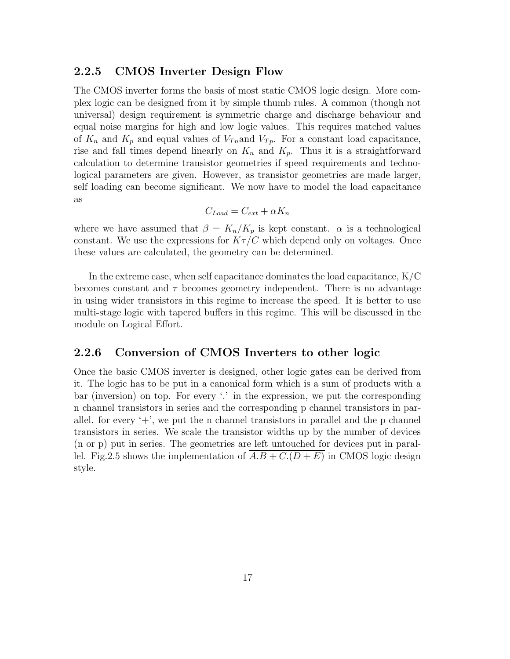## 2.2.5 CMOS Inverter Design Flow

The CMOS inverter forms the basis of most static CMOS logic design. More complex logic can be designed from it by simple thumb rules. A common (though not universal) design requirement is symmetric charge and discharge behaviour and equal noise margins for high and low logic values. This requires matched values of  $K_n$  and  $K_p$  and equal values of  $V_{Tn}$  and  $V_{Tp}$ . For a constant load capacitance, rise and fall times depend linearly on  $K_n$  and  $K_p$ . Thus it is a straightforward calculation to determine transistor geometries if speed requirements and technological parameters are given. However, as transistor geometries are made larger, self loading can become significant. We now have to model the load capacitance as

$$
C_{Load} = C_{ext} + \alpha K_n
$$

where we have assumed that  $\beta = K_n/K_p$  is kept constant.  $\alpha$  is a technological constant. We use the expressions for  $K\tau/C$  which depend only on voltages. Once these values are calculated, the geometry can be determined.

In the extreme case, when self capacitance dominates the load capacitance, K/C becomes constant and  $\tau$  becomes geometry independent. There is no advantage in using wider transistors in this regime to increase the speed. It is better to use multi-stage logic with tapered buffers in this regime. This will be discussed in the module on Logical Effort.

## 2.2.6 Conversion of CMOS Inverters to other logic

Once the basic CMOS inverter is designed, other logic gates can be derived from it. The logic has to be put in a canonical form which is a sum of products with a bar (inversion) on top. For every '.' in the expression, we put the corresponding n channel transistors in series and the corresponding p channel transistors in parallel. for every  $+$ , we put the n channel transistors in parallel and the p channel transistors in series. We scale the transistor widths up by the number of devices (n or p) put in series. The geometries are left untouched for devices put in parallel. Fig. 2.5 shows the implementation of  $A.B + C.(D + E)$  in CMOS logic design style.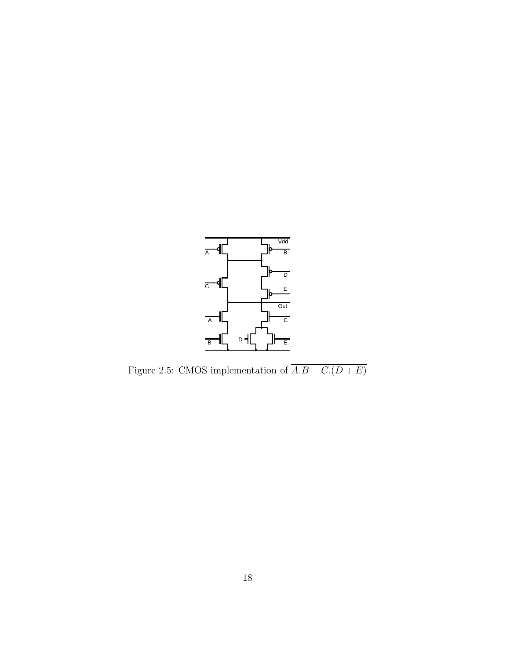

Figure 2.5: CMOS implementation of  $\overline{A.B + C.(D+E)}$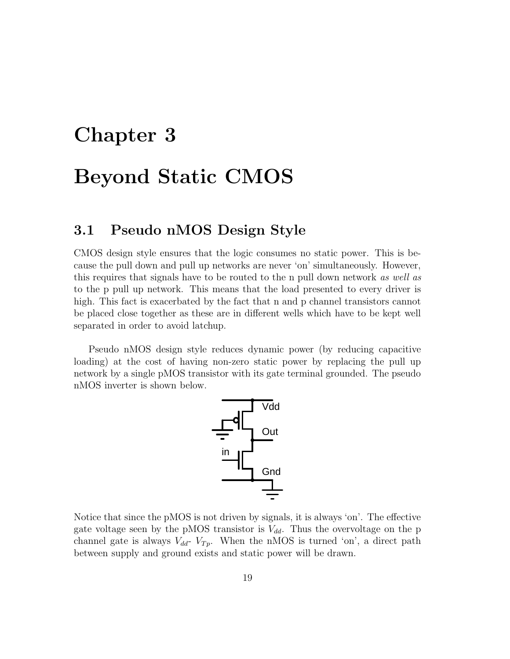## Chapter 3

## Beyond Static CMOS

## 3.1 Pseudo nMOS Design Style

CMOS design style ensures that the logic consumes no static power. This is because the pull down and pull up networks are never 'on' simultaneously. However, this requires that signals have to be routed to the n pull down network as well as to the p pull up network. This means that the load presented to every driver is high. This fact is exacerbated by the fact that n and p channel transistors cannot be placed close together as these are in different wells which have to be kept well separated in order to avoid latchup.

Pseudo nMOS design style reduces dynamic power (by reducing capacitive loading) at the cost of having non-zero static power by replacing the pull up network by a single pMOS transistor with its gate terminal grounded. The pseudo nMOS inverter is shown below.



Notice that since the pMOS is not driven by signals, it is always 'on'. The effective gate voltage seen by the pMOS transistor is  $V_{dd}$ . Thus the overvoltage on the p channel gate is always  $V_{dd}$ -  $V_{Tp}$ . When the nMOS is turned 'on', a direct path between supply and ground exists and static power will be drawn.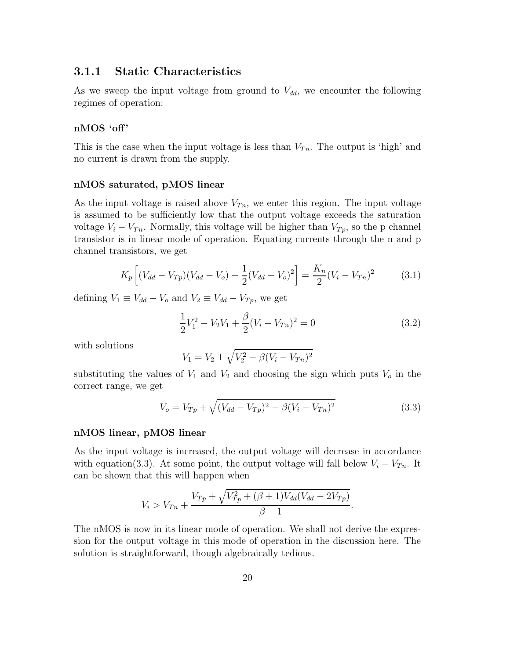## 3.1.1 Static Characteristics

As we sweep the input voltage from ground to  $V_{dd}$ , we encounter the following regimes of operation:

## nMOS 'off'

This is the case when the input voltage is less than  $V_{T_n}$ . The output is 'high' and no current is drawn from the supply.

#### nMOS saturated, pMOS linear

As the input voltage is raised above  $V_{T_n}$ , we enter this region. The input voltage is assumed to be sufficiently low that the output voltage exceeds the saturation voltage  $V_i - V_{T_n}$ . Normally, this voltage will be higher than  $V_{T_p}$ , so the p channel transistor is in linear mode of operation. Equating currents through the n and p channel transistors, we get

$$
K_p \left[ (V_{dd} - V_{Tp})(V_{dd} - V_o) - \frac{1}{2}(V_{dd} - V_o)^2 \right] = \frac{K_n}{2}(V_i - V_{Tn})^2 \tag{3.1}
$$

defining  $V_1 \equiv V_{dd} - V_o$  and  $V_2 \equiv V_{dd} - V_{Tp}$ , we get

$$
\frac{1}{2}V_1^2 - V_2V_1 + \frac{\beta}{2}(V_i - V_{Tn})^2 = 0
$$
\n(3.2)

with solutions

$$
V_1 = V_2 \pm \sqrt{V_2^2 - \beta (V_i - V_{Tn})^2}
$$

substituting the values of  $V_1$  and  $V_2$  and choosing the sign which puts  $V_o$  in the correct range, we get

$$
V_o = V_{Tp} + \sqrt{(V_{dd} - V_{Tp})^2 - \beta (V_i - V_{Tn})^2}
$$
\n(3.3)

.

#### nMOS linear, pMOS linear

As the input voltage is increased, the output voltage will decrease in accordance with equation(3.3). At some point, the output voltage will fall below  $V_i - V_{Tn}$ . It can be shown that this will happen when

$$
V_i > V_{Tn} + \frac{V_{Tp} + \sqrt{V_{Tp}^2 + (\beta + 1)V_{dd}(V_{dd} - 2V_{Tp})}}{\beta + 1}
$$

The nMOS is now in its linear mode of operation. We shall not derive the expression for the output voltage in this mode of operation in the discussion here. The solution is straightforward, though algebraically tedious.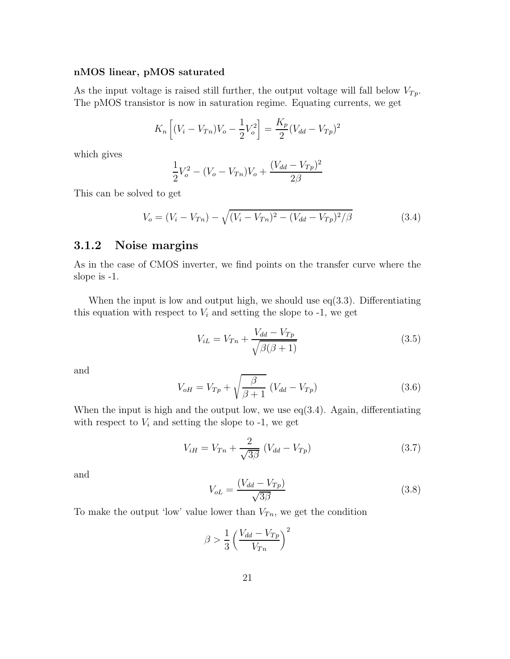#### nMOS linear, pMOS saturated

As the input voltage is raised still further, the output voltage will fall below  $V_{Tp}$ . The pMOS transistor is now in saturation regime. Equating currents, we get

$$
K_n\left[ (V_i - V_{Tn})V_o - \frac{1}{2}V_o^2 \right] = \frac{K_p}{2}(V_{dd} - V_{Tp})^2
$$

which gives

$$
\frac{1}{2}V_o^2 - (V_o - V_{Tn})V_o + \frac{(V_{dd} - V_{Tp})^2}{2\beta}
$$

This can be solved to get

$$
V_o = (V_i - V_{Tn}) - \sqrt{(V_i - V_{Tn})^2 - (V_{dd} - V_{Tp})^2/\beta}
$$
\n(3.4)

## 3.1.2 Noise margins

As in the case of CMOS inverter, we find points on the transfer curve where the slope is -1.

When the input is low and output high, we should use  $eq(3.3)$ . Differentiating this equation with respect to  $V_i$  and setting the slope to  $-1$ , we get

$$
V_{iL} = V_{Tn} + \frac{V_{dd} - V_{Tp}}{\sqrt{\beta(\beta + 1)}}
$$
\n(3.5)

and

$$
V_{oH} = V_{Tp} + \sqrt{\frac{\beta}{\beta + 1}} (V_{dd} - V_{Tp})
$$
\n(3.6)

When the input is high and the output low, we use  $eq(3.4)$ . Again, differentiating with respect to  $V_i$  and setting the slope to -1, we get

$$
V_{iH} = V_{Tn} + \frac{2}{\sqrt{3\beta}} (V_{dd} - V_{Tp})
$$
\n(3.7)

and

$$
V_{oL} = \frac{(V_{dd} - V_{Tp})}{\sqrt{3\beta}}
$$
\n
$$
(3.8)
$$

To make the output 'low' value lower than  $V_{T_n}$ , we get the condition

$$
\beta > \frac{1}{3} \left( \frac{V_{dd} - V_{Tp}}{V_{Tn}} \right)^2
$$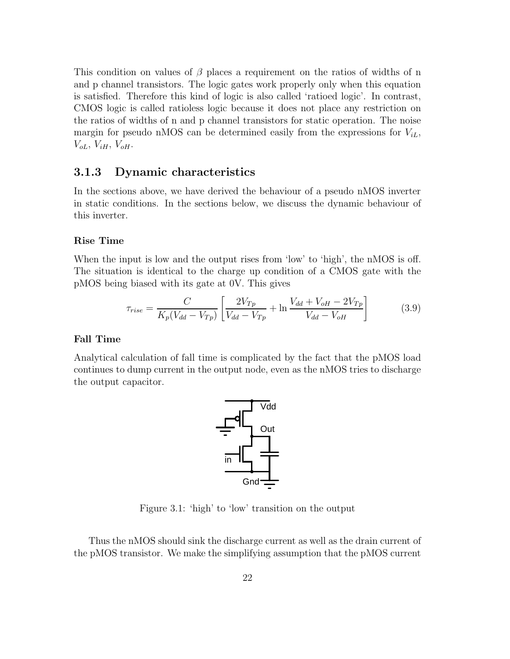This condition on values of  $\beta$  places a requirement on the ratios of widths of n and p channel transistors. The logic gates work properly only when this equation is satisfied. Therefore this kind of logic is also called 'ratioed logic'. In contrast, CMOS logic is called ratioless logic because it does not place any restriction on the ratios of widths of n and p channel transistors for static operation. The noise margin for pseudo nMOS can be determined easily from the expressions for  $V_{iL}$ ,  $V_{oL}, V_{iH}, V_{oH}.$ 

## 3.1.3 Dynamic characteristics

In the sections above, we have derived the behaviour of a pseudo nMOS inverter in static conditions. In the sections below, we discuss the dynamic behaviour of this inverter.

## Rise Time

When the input is low and the output rises from 'low' to 'high', the nMOS is off. The situation is identical to the charge up condition of a CMOS gate with the pMOS being biased with its gate at 0V. This gives

$$
\tau_{rise} = \frac{C}{K_p(V_{dd} - V_{Tp})} \left[ \frac{2V_{Tp}}{V_{dd} - V_{Tp}} + \ln \frac{V_{dd} + V_{oH} - 2V_{Tp}}{V_{dd} - V_{oH}} \right]
$$
(3.9)

#### Fall Time

Analytical calculation of fall time is complicated by the fact that the pMOS load continues to dump current in the output node, even as the nMOS tries to discharge the output capacitor.



Figure 3.1: 'high' to 'low' transition on the output

Thus the nMOS should sink the discharge current as well as the drain current of the pMOS transistor. We make the simplifying assumption that the pMOS current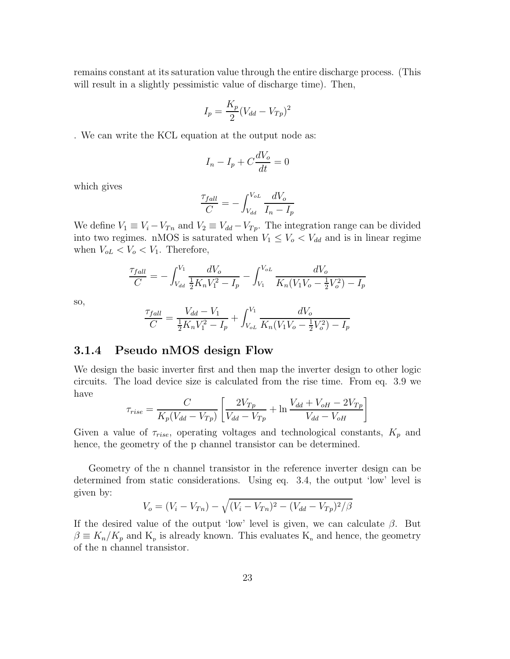remains constant at its saturation value through the entire discharge process. (This will result in a slightly pessimistic value of discharge time). Then,

$$
I_p = \frac{K_p}{2}(V_{dd} - V_{Tp})^2
$$

. We can write the KCL equation at the output node as:

$$
I_n - I_p + C\frac{dV_o}{dt} = 0
$$

which gives

$$
\frac{\tau_{fall}}{C} = -\int_{V_{dd}}^{V_{oL}} \frac{dV_o}{I_n - I_p}
$$

We define  $V_1 \equiv V_i - V_{Tn}$  and  $V_2 \equiv V_{dd} - V_{Tp}$ . The integration range can be divided into two regimes. nMOS is saturated when  $V_1 \leq V_o < V_{dd}$  and is in linear regime when  $V_{oL} < V_o < V_1$ . Therefore,

$$
\frac{\tau_{fall}}{C} = -\int_{V_{dd}}^{V_1} \frac{dV_o}{\frac{1}{2}K_n V_1^2 - I_p} - \int_{V_1}^{V_{oL}} \frac{dV_o}{K_n (V_1 V_o - \frac{1}{2}V_o^2) - I_p}
$$

so,

$$
\frac{\tau_{fall}}{C} = \frac{V_{dd} - V_1}{\frac{1}{2}K_n V_1^2 - I_p} + \int_{V_{oL}}^{V_1} \frac{dV_o}{K_n (V_1 V_o - \frac{1}{2}V_o^2) - I_p}
$$

## 3.1.4 Pseudo nMOS design Flow

We design the basic inverter first and then map the inverter design to other logic circuits. The load device size is calculated from the rise time. From eq. 3.9 we have

$$
\tau_{rise} = \frac{C}{K_p(V_{dd} - V_{Tp})} \left[ \frac{2V_{Tp}}{V_{dd} - V_{Tp}} + \ln \frac{V_{dd} + V_{oH} - 2V_{Tp}}{V_{dd} - V_{oH}} \right]
$$

Given a value of  $\tau_{rise}$ , operating voltages and technological constants,  $K_p$  and hence, the geometry of the p channel transistor can be determined.

Geometry of the n channel transistor in the reference inverter design can be determined from static considerations. Using eq. 3.4, the output 'low' level is given by:

$$
V_o = (V_i - V_{Tn}) - \sqrt{(V_i - V_{Tn})^2 - (V_{dd} - V_{Tp})^2/\beta}
$$

If the desired value of the output 'low' level is given, we can calculate  $\beta$ . But  $\beta \equiv K_n/K_p$  and  $K_p$  is already known. This evaluates  $K_n$  and hence, the geometry of the n channel transistor.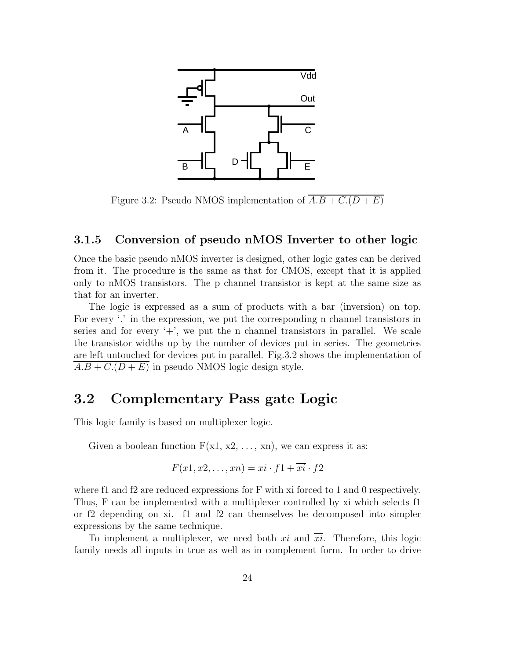

Figure 3.2: Pseudo NMOS implementation of  $\overline{A.B + C.(D + E)}$ 

## 3.1.5 Conversion of pseudo nMOS Inverter to other logic

Once the basic pseudo nMOS inverter is designed, other logic gates can be derived from it. The procedure is the same as that for CMOS, except that it is applied only to nMOS transistors. The p channel transistor is kept at the same size as that for an inverter.

The logic is expressed as a sum of products with a bar (inversion) on top. For every '.' in the expression, we put the corresponding n channel transistors in series and for every  $+$ , we put the n channel transistors in parallel. We scale the transistor widths up by the number of devices put in series. The geometries are left untouched for devices put in parallel. Fig.3.2 shows the implementation of  $A.B + C.(D + E)$  in pseudo NMOS logic design style.

## 3.2 Complementary Pass gate Logic

This logic family is based on multiplexer logic.

Given a boolean function  $F(x1, x2, \ldots, xn)$ , we can express it as:

$$
F(x1, x2, \dots, xn) = xi \cdot f1 + \overline{xi} \cdot f2
$$

where f1 and f2 are reduced expressions for F with xi forced to 1 and 0 respectively. Thus, F can be implemented with a multiplexer controlled by xi which selects f1 or f2 depending on xi. f1 and f2 can themselves be decomposed into simpler expressions by the same technique.

To implement a multiplexer, we need both xi and  $\overline{xi}$ . Therefore, this logic family needs all inputs in true as well as in complement form. In order to drive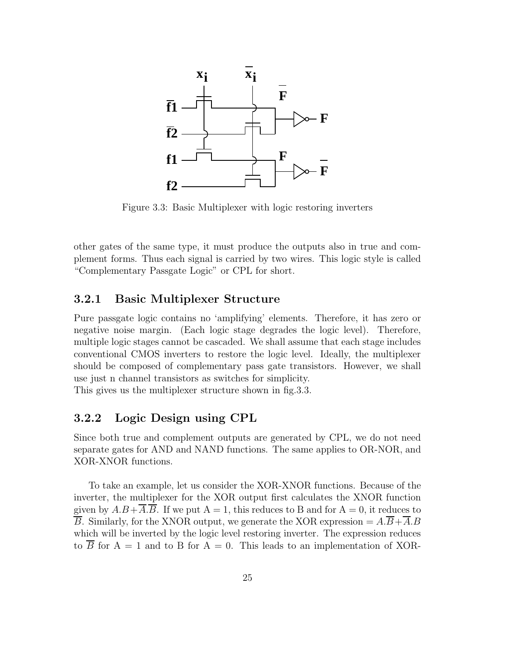

Figure 3.3: Basic Multiplexer with logic restoring inverters

other gates of the same type, it must produce the outputs also in true and complement forms. Thus each signal is carried by two wires. This logic style is called "Complementary Passgate Logic" or CPL for short.

## 3.2.1 Basic Multiplexer Structure

Pure passgate logic contains no 'amplifying' elements. Therefore, it has zero or negative noise margin. (Each logic stage degrades the logic level). Therefore, multiple logic stages cannot be cascaded. We shall assume that each stage includes conventional CMOS inverters to restore the logic level. Ideally, the multiplexer should be composed of complementary pass gate transistors. However, we shall use just n channel transistors as switches for simplicity.

This gives us the multiplexer structure shown in fig.3.3.

## 3.2.2 Logic Design using CPL

Since both true and complement outputs are generated by CPL, we do not need separate gates for AND and NAND functions. The same applies to OR-NOR, and XOR-XNOR functions.

To take an example, let us consider the XOR-XNOR functions. Because of the inverter, the multiplexer for the XOR output first calculates the XNOR function given by  $A.B+\overline{A}.\overline{B}$ . If we put  $A=1$ , this reduces to B and for  $A=0$ , it reduces to  $\overline{B}$ . Similarly, for the XNOR output, we generate the XOR expression =  $A.\overline{B}+\overline{A}.B$ which will be inverted by the logic level restoring inverter. The expression reduces to  $\overline{B}$  for A = 1 and to B for A = 0. This leads to an implementation of XOR-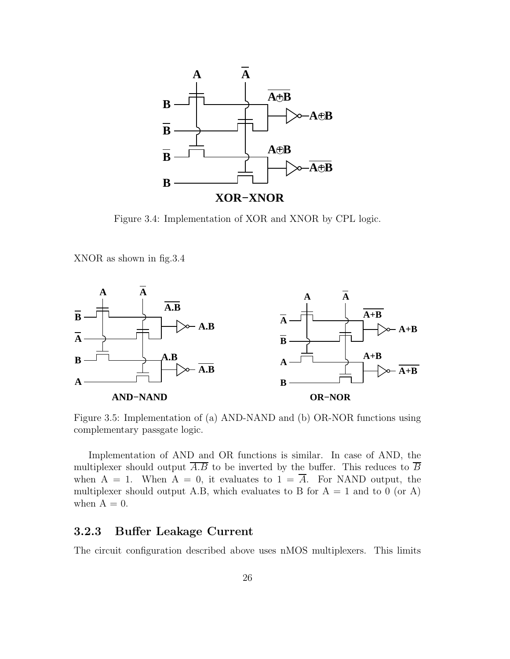

Figure 3.4: Implementation of XOR and XNOR by CPL logic.

XNOR as shown in fig.3.4



Figure 3.5: Implementation of (a) AND-NAND and (b) OR-NOR functions using complementary passgate logic.

Implementation of AND and OR functions is similar. In case of AND, the multiplexer should output  $\overline{A.B}$  to be inverted by the buffer. This reduces to  $\overline{B}$ when  $A = 1$ . When  $A = 0$ , it evaluates to  $1 = A$ . For NAND output, the multiplexer should output A.B, which evaluates to B for  $A = 1$  and to 0 (or A) when  $A = 0$ .

## 3.2.3 Buffer Leakage Current

The circuit configuration described above uses nMOS multiplexers. This limits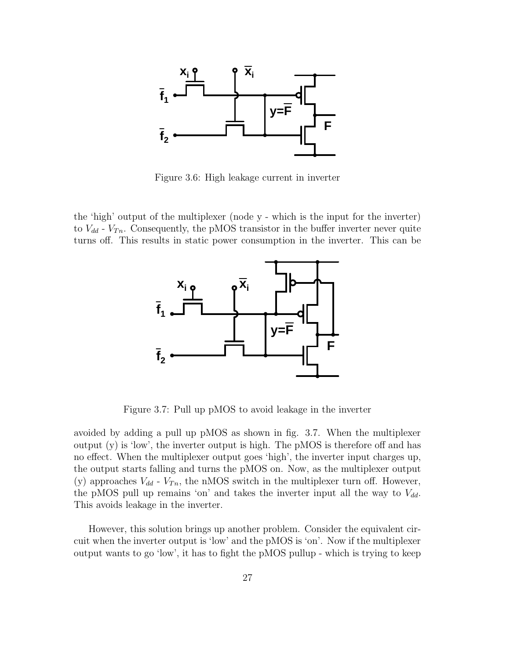

Figure 3.6: High leakage current in inverter

the 'high' output of the multiplexer (node y - which is the input for the inverter) to  $V_{dd}$  -  $V_{Tn}$ . Consequently, the pMOS transistor in the buffer inverter never quite turns off. This results in static power consumption in the inverter. This can be



Figure 3.7: Pull up pMOS to avoid leakage in the inverter

avoided by adding a pull up pMOS as shown in fig. 3.7. When the multiplexer output  $(y)$  is 'low', the inverter output is high. The pMOS is therefore off and has no effect. When the multiplexer output goes 'high', the inverter input charges up, the output starts falling and turns the pMOS on. Now, as the multiplexer output (y) approaches  $V_{dd}$  -  $V_{Tn}$ , the nMOS switch in the multiplexer turn off. However, the pMOS pull up remains 'on' and takes the inverter input all the way to  $V_{dd}$ . This avoids leakage in the inverter.

However, this solution brings up another problem. Consider the equivalent circuit when the inverter output is 'low' and the pMOS is 'on'. Now if the multiplexer output wants to go 'low', it has to fight the pMOS pullup - which is trying to keep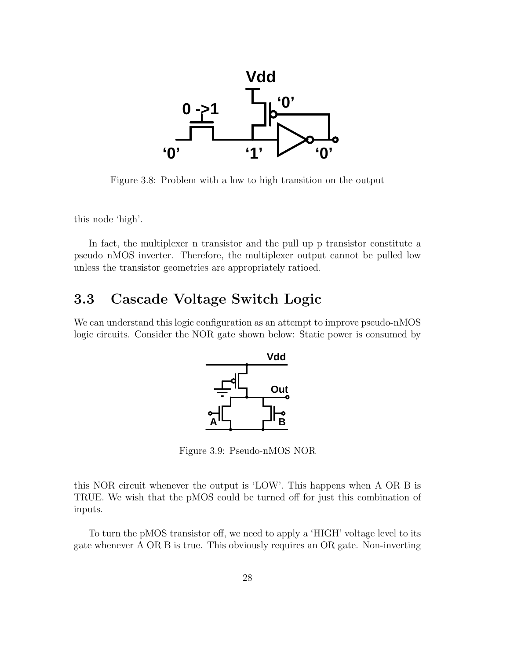

Figure 3.8: Problem with a low to high transition on the output

this node 'high'.

In fact, the multiplexer n transistor and the pull up p transistor constitute a pseudo nMOS inverter. Therefore, the multiplexer output cannot be pulled low unless the transistor geometries are appropriately ratioed.

## 3.3 Cascade Voltage Switch Logic

We can understand this logic configuration as an attempt to improve pseudo-nMOS logic circuits. Consider the NOR gate shown below: Static power is consumed by



Figure 3.9: Pseudo-nMOS NOR

this NOR circuit whenever the output is 'LOW'. This happens when A OR B is TRUE. We wish that the pMOS could be turned off for just this combination of inputs.

To turn the pMOS transistor off, we need to apply a 'HIGH' voltage level to its gate whenever A OR B is true. This obviously requires an OR gate. Non-inverting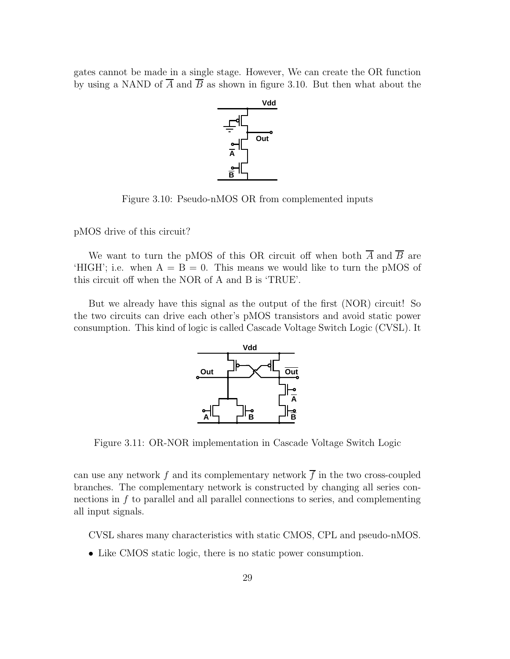gates cannot be made in a single stage. However, We can create the OR function by using a NAND of  $\overline{A}$  and  $\overline{B}$  as shown in figure 3.10. But then what about the



Figure 3.10: Pseudo-nMOS OR from complemented inputs

pMOS drive of this circuit?

We want to turn the pMOS of this OR circuit off when both  $\overline{A}$  and  $\overline{B}$  are 'HIGH'; i.e. when  $A = B = 0$ . This means we would like to turn the pMOS of this circuit off when the NOR of A and B is 'TRUE'.

But we already have this signal as the output of the first (NOR) circuit! So the two circuits can drive each other's pMOS transistors and avoid static power consumption. This kind of logic is called Cascade Voltage Switch Logic (CVSL). It



Figure 3.11: OR-NOR implementation in Cascade Voltage Switch Logic

can use any network f and its complementary network  $\overline{f}$  in the two cross-coupled branches. The complementary network is constructed by changing all series connections in f to parallel and all parallel connections to series, and complementing all input signals.

CVSL shares many characteristics with static CMOS, CPL and pseudo-nMOS.

• Like CMOS static logic, there is no static power consumption.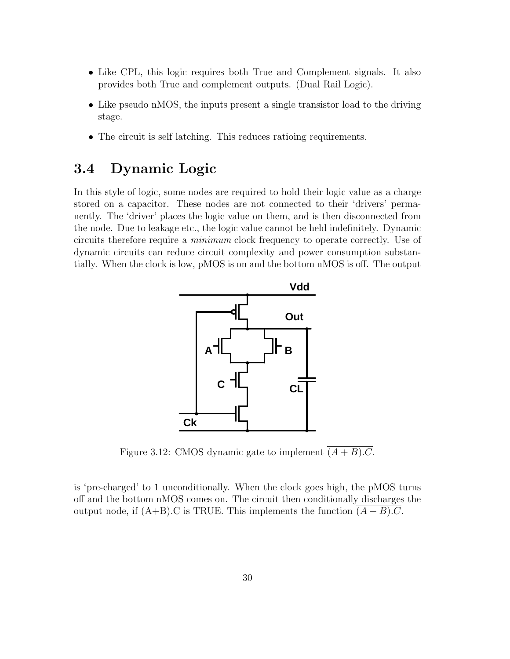- Like CPL, this logic requires both True and Complement signals. It also provides both True and complement outputs. (Dual Rail Logic).
- Like pseudo nMOS, the inputs present a single transistor load to the driving stage.
- The circuit is self latching. This reduces ratioing requirements.

## 3.4 Dynamic Logic

In this style of logic, some nodes are required to hold their logic value as a charge stored on a capacitor. These nodes are not connected to their 'drivers' permanently. The 'driver' places the logic value on them, and is then disconnected from the node. Due to leakage etc., the logic value cannot be held indefinitely. Dynamic circuits therefore require a minimum clock frequency to operate correctly. Use of dynamic circuits can reduce circuit complexity and power consumption substantially. When the clock is low, pMOS is on and the bottom nMOS is off. The output



Figure 3.12: CMOS dynamic gate to implement  $\overline{(A+B).C}$ .

is 'pre-charged' to 1 unconditionally. When the clock goes high, the pMOS turns off and the bottom nMOS comes on. The circuit then conditionally discharges the output node, if  $(A+B)$ .C is TRUE. This implements the function  $(A + B)$ .C.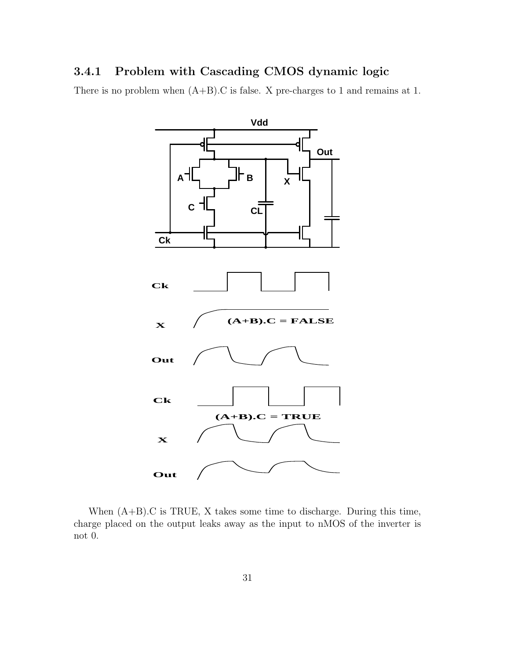## 3.4.1 Problem with Cascading CMOS dynamic logic

There is no problem when  $(A+B)$ . C is false. X pre-charges to 1 and remains at 1.



When (A+B).C is TRUE, X takes some time to discharge. During this time, charge placed on the output leaks away as the input to nMOS of the inverter is not 0.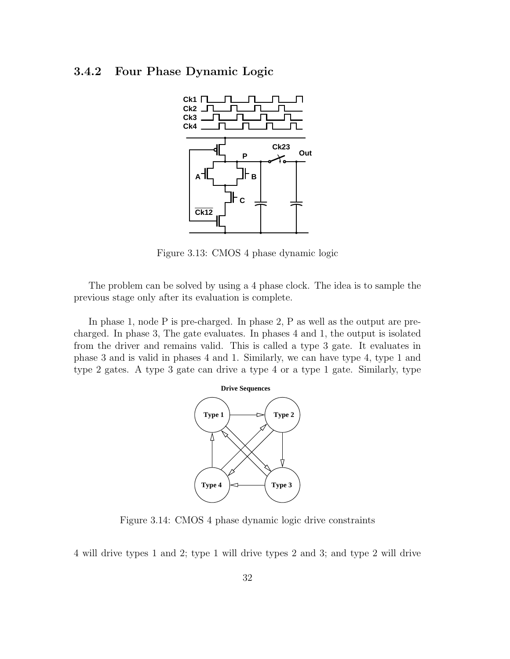## 3.4.2 Four Phase Dynamic Logic



Figure 3.13: CMOS 4 phase dynamic logic

The problem can be solved by using a 4 phase clock. The idea is to sample the previous stage only after its evaluation is complete.

In phase 1, node P is pre-charged. In phase 2, P as well as the output are precharged. In phase 3, The gate evaluates. In phases 4 and 1, the output is isolated from the driver and remains valid. This is called a type 3 gate. It evaluates in phase 3 and is valid in phases 4 and 1. Similarly, we can have type 4, type 1 and type 2 gates. A type 3 gate can drive a type 4 or a type 1 gate. Similarly, type



Figure 3.14: CMOS 4 phase dynamic logic drive constraints

4 will drive types 1 and 2; type 1 will drive types 2 and 3; and type 2 will drive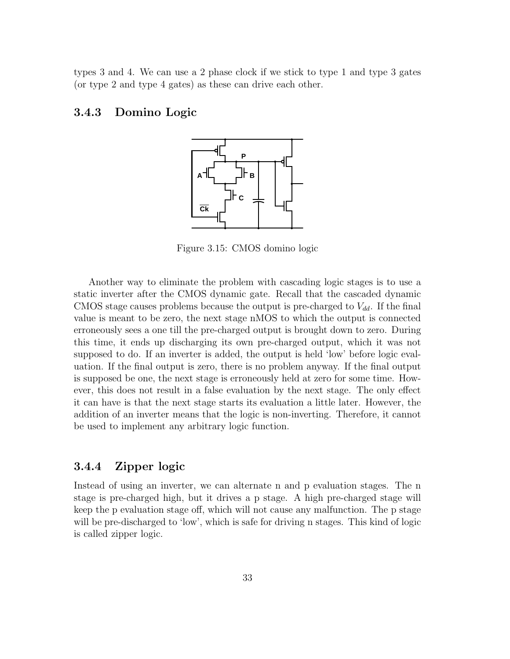types 3 and 4. We can use a 2 phase clock if we stick to type 1 and type 3 gates (or type 2 and type 4 gates) as these can drive each other.

## 3.4.3 Domino Logic



Figure 3.15: CMOS domino logic

Another way to eliminate the problem with cascading logic stages is to use a static inverter after the CMOS dynamic gate. Recall that the cascaded dynamic CMOS stage causes problems because the output is pre-charged to  $V_{dd}$ . If the final value is meant to be zero, the next stage nMOS to which the output is connected erroneously sees a one till the pre-charged output is brought down to zero. During this time, it ends up discharging its own pre-charged output, which it was not supposed to do. If an inverter is added, the output is held 'low' before logic evaluation. If the final output is zero, there is no problem anyway. If the final output is supposed be one, the next stage is erroneously held at zero for some time. However, this does not result in a false evaluation by the next stage. The only effect it can have is that the next stage starts its evaluation a little later. However, the addition of an inverter means that the logic is non-inverting. Therefore, it cannot be used to implement any arbitrary logic function.

## 3.4.4 Zipper logic

Instead of using an inverter, we can alternate n and p evaluation stages. The n stage is pre-charged high, but it drives a p stage. A high pre-charged stage will keep the p evaluation stage off, which will not cause any malfunction. The p stage will be pre-discharged to 'low', which is safe for driving n stages. This kind of logic is called zipper logic.